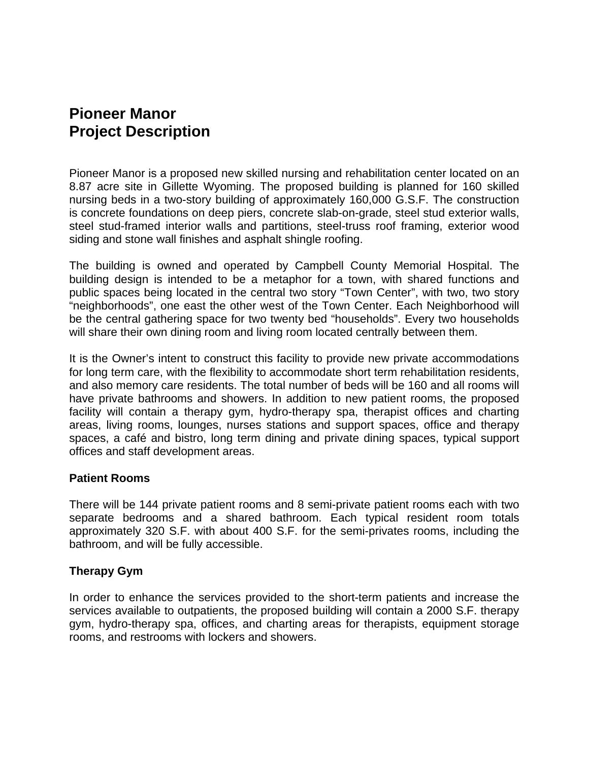# **Pioneer Manor Project Description**

Pioneer Manor is a proposed new skilled nursing and rehabilitation center located on an 8.87 acre site in Gillette Wyoming. The proposed building is planned for 160 skilled nursing beds in a two-story building of approximately 160,000 G.S.F. The construction is concrete foundations on deep piers, concrete slab-on-grade, steel stud exterior walls, steel stud-framed interior walls and partitions, steel-truss roof framing, exterior wood siding and stone wall finishes and asphalt shingle roofing.

The building is owned and operated by Campbell County Memorial Hospital. The building design is intended to be a metaphor for a town, with shared functions and public spaces being located in the central two story "Town Center", with two, two story "neighborhoods", one east the other west of the Town Center. Each Neighborhood will be the central gathering space for two twenty bed "households". Every two households will share their own dining room and living room located centrally between them.

It is the Owner's intent to construct this facility to provide new private accommodations for long term care, with the flexibility to accommodate short term rehabilitation residents, and also memory care residents. The total number of beds will be 160 and all rooms will have private bathrooms and showers. In addition to new patient rooms, the proposed facility will contain a therapy gym, hydro-therapy spa, therapist offices and charting areas, living rooms, lounges, nurses stations and support spaces, office and therapy spaces, a café and bistro, long term dining and private dining spaces, typical support offices and staff development areas.

## **Patient Rooms**

There will be 144 private patient rooms and 8 semi-private patient rooms each with two separate bedrooms and a shared bathroom. Each typical resident room totals approximately 320 S.F. with about 400 S.F. for the semi-privates rooms, including the bathroom, and will be fully accessible.

# **Therapy Gym**

In order to enhance the services provided to the short-term patients and increase the services available to outpatients, the proposed building will contain a 2000 S.F. therapy gym, hydro-therapy spa, offices, and charting areas for therapists, equipment storage rooms, and restrooms with lockers and showers.